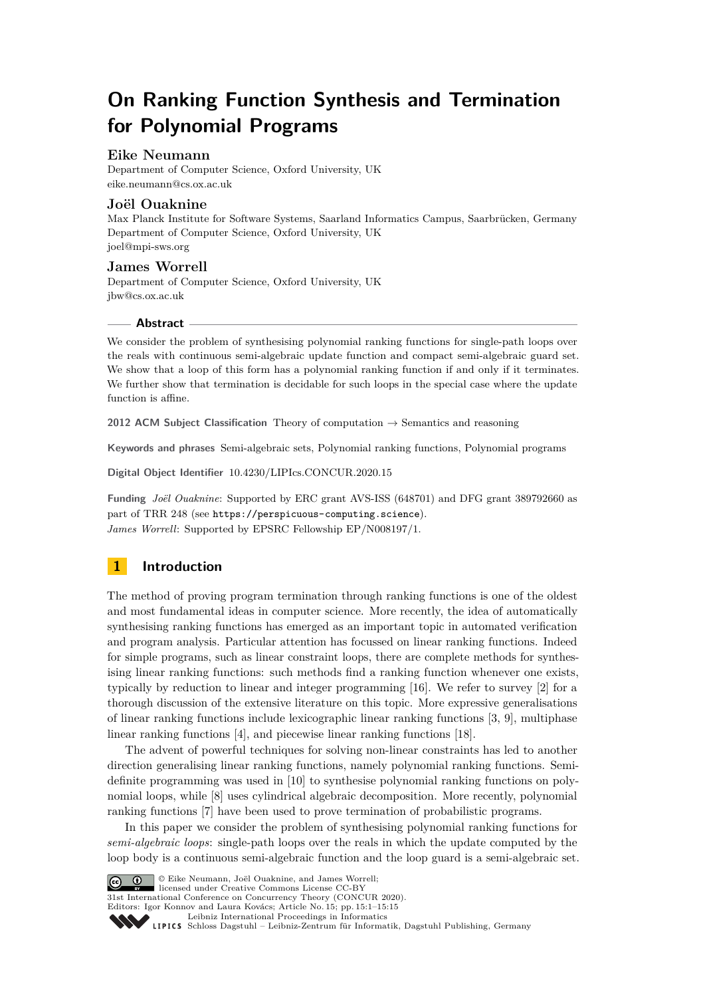# **On Ranking Function Synthesis and Termination for Polynomial Programs**

# **Eike Neumann**

Department of Computer Science, Oxford University, UK [eike.neumann@cs.ox.ac.uk](mailto:eike.neumann@cs.ox.ac.uk)

# **Joël Ouaknine**

Max Planck Institute for Software Systems, Saarland Informatics Campus, Saarbrücken, Germany Department of Computer Science, Oxford University, UK [joel@mpi-sws.org](mailto:joel@mpi-sws.org)

# **James Worrell**

Department of Computer Science, Oxford University, UK [jbw@cs.ox.ac.uk](mailto:jbw@cs.ox.ac.uk)

# **Abstract**

We consider the problem of synthesising polynomial ranking functions for single-path loops over the reals with continuous semi-algebraic update function and compact semi-algebraic guard set. We show that a loop of this form has a polynomial ranking function if and only if it terminates. We further show that termination is decidable for such loops in the special case where the update function is affine.

**2012 ACM Subject Classification** Theory of computation → Semantics and reasoning

**Keywords and phrases** Semi-algebraic sets, Polynomial ranking functions, Polynomial programs

**Digital Object Identifier** [10.4230/LIPIcs.CONCUR.2020.15](https://doi.org/10.4230/LIPIcs.CONCUR.2020.15)

**Funding** *Joël Ouaknine*: Supported by ERC grant AVS-ISS (648701) and DFG grant 389792660 as part of TRR 248 (see <https://perspicuous-computing.science>). *James Worrell*: Supported by EPSRC Fellowship EP/N008197/1.

# **1 Introduction**

The method of proving program termination through ranking functions is one of the oldest and most fundamental ideas in computer science. More recently, the idea of automatically synthesising ranking functions has emerged as an important topic in automated verification and program analysis. Particular attention has focussed on linear ranking functions. Indeed for simple programs, such as linear constraint loops, there are complete methods for synthesising linear ranking functions: such methods find a ranking function whenever one exists, typically by reduction to linear and integer programming [\[16\]](#page-14-0). We refer to survey [\[2\]](#page-13-0) for a thorough discussion of the extensive literature on this topic. More expressive generalisations of linear ranking functions include lexicographic linear ranking functions [\[3,](#page-13-1) [9\]](#page-14-1), multiphase linear ranking functions [\[4\]](#page-13-2), and piecewise linear ranking functions [\[18\]](#page-14-2).

The advent of powerful techniques for solving non-linear constraints has led to another direction generalising linear ranking functions, namely polynomial ranking functions. Semidefinite programming was used in [\[10\]](#page-14-3) to synthesise polynomial ranking functions on polynomial loops, while [\[8\]](#page-14-4) uses cylindrical algebraic decomposition. More recently, polynomial ranking functions [\[7\]](#page-13-3) have been used to prove termination of probabilistic programs.

In this paper we consider the problem of synthesising polynomial ranking functions for *semi-algebraic loops*: single-path loops over the reals in which the update computed by the loop body is a continuous semi-algebraic function and the loop guard is a semi-algebraic set.



**c**  $\bullet$   $\bullet$  Eike Neumann, Joël Ouaknine, and James Worrell: licensed under Creative Commons License CC-BY

31st International Conference on Concurrency Theory (CONCUR 2020).

Editors: Igor Konnov and Laura Kovács; Article No. 15; pp. 15:1–15[:15](#page-14-5)

[Leibniz International Proceedings in Informatics](https://www.dagstuhl.de/lipics/)

[Schloss Dagstuhl – Leibniz-Zentrum für Informatik, Dagstuhl Publishing, Germany](https://www.dagstuhl.de)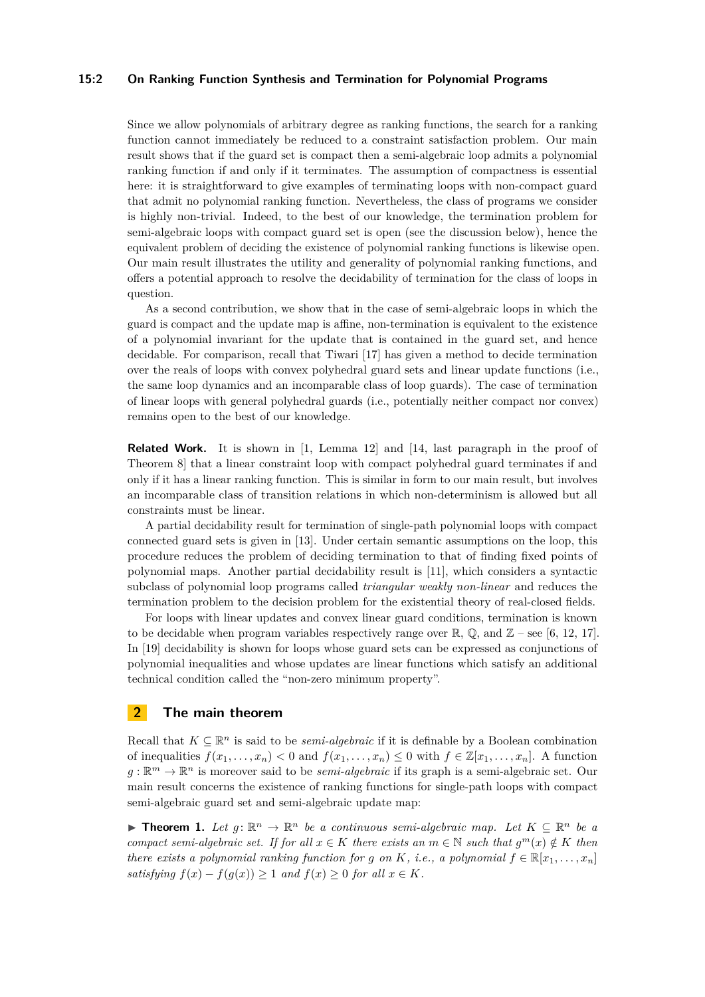# **15:2 On Ranking Function Synthesis and Termination for Polynomial Programs**

Since we allow polynomials of arbitrary degree as ranking functions, the search for a ranking function cannot immediately be reduced to a constraint satisfaction problem. Our main result shows that if the guard set is compact then a semi-algebraic loop admits a polynomial ranking function if and only if it terminates. The assumption of compactness is essential here: it is straightforward to give examples of terminating loops with non-compact guard that admit no polynomial ranking function. Nevertheless, the class of programs we consider is highly non-trivial. Indeed, to the best of our knowledge, the termination problem for semi-algebraic loops with compact guard set is open (see the discussion below), hence the equivalent problem of deciding the existence of polynomial ranking functions is likewise open. Our main result illustrates the utility and generality of polynomial ranking functions, and offers a potential approach to resolve the decidability of termination for the class of loops in question.

As a second contribution, we show that in the case of semi-algebraic loops in which the guard is compact and the update map is affine, non-termination is equivalent to the existence of a polynomial invariant for the update that is contained in the guard set, and hence decidable. For comparison, recall that Tiwari [\[17\]](#page-14-6) has given a method to decide termination over the reals of loops with convex polyhedral guard sets and linear update functions (i.e., the same loop dynamics and an incomparable class of loop guards). The case of termination of linear loops with general polyhedral guards (i.e., potentially neither compact nor convex) remains open to the best of our knowledge.

**Related Work.** It is shown in [\[1,](#page-13-4) Lemma 12] and [\[14,](#page-14-7) last paragraph in the proof of Theorem 8] that a linear constraint loop with compact polyhedral guard terminates if and only if it has a linear ranking function. This is similar in form to our main result, but involves an incomparable class of transition relations in which non-determinism is allowed but all constraints must be linear.

A partial decidability result for termination of single-path polynomial loops with compact connected guard sets is given in [\[13\]](#page-14-8). Under certain semantic assumptions on the loop, this procedure reduces the problem of deciding termination to that of finding fixed points of polynomial maps. Another partial decidability result is [\[11\]](#page-14-9), which considers a syntactic subclass of polynomial loop programs called *triangular weakly non-linear* and reduces the termination problem to the decision problem for the existential theory of real-closed fields.

For loops with linear updates and convex linear guard conditions, termination is known to be decidable when program variables respectively range over  $\mathbb{R}, \mathbb{Q}$ , and  $\mathbb{Z}$  – see [\[6,](#page-13-5) [12,](#page-14-10) [17\]](#page-14-6). In [\[19\]](#page-14-11) decidability is shown for loops whose guard sets can be expressed as conjunctions of polynomial inequalities and whose updates are linear functions which satisfy an additional technical condition called the "non-zero minimum property".

# **2 The main theorem**

Recall that  $K \subseteq \mathbb{R}^n$  is said to be *semi-algebraic* if it is definable by a Boolean combination of inequalities  $f(x_1, \ldots, x_n) < 0$  and  $f(x_1, \ldots, x_n) \leq 0$  with  $f \in \mathbb{Z}[x_1, \ldots, x_n]$ . A function  $g: \mathbb{R}^m \to \mathbb{R}^n$  is moreover said to be *semi-algebraic* if its graph is a semi-algebraic set. Our main result concerns the existence of ranking functions for single-path loops with compact semi-algebraic guard set and semi-algebraic update map:

<span id="page-1-0"></span>**Find 1.** Let  $g: \mathbb{R}^n \to \mathbb{R}^n$  be a continuous semi-algebraic map. Let  $K \subseteq \mathbb{R}^n$  be a *compact semi-algebraic set. If for all*  $x \in K$  *there exists an*  $m \in \mathbb{N}$  *such that*  $g^m(x) \notin K$  *then there exists a polynomial ranking function for <i>g* on *K*, *i.e.*, *a polynomial*  $f \in \mathbb{R}[x_1, \ldots, x_n]$ *satisfying*  $f(x) - f(q(x)) \geq 1$  *and*  $f(x) \geq 0$  *for all*  $x \in K$ *.*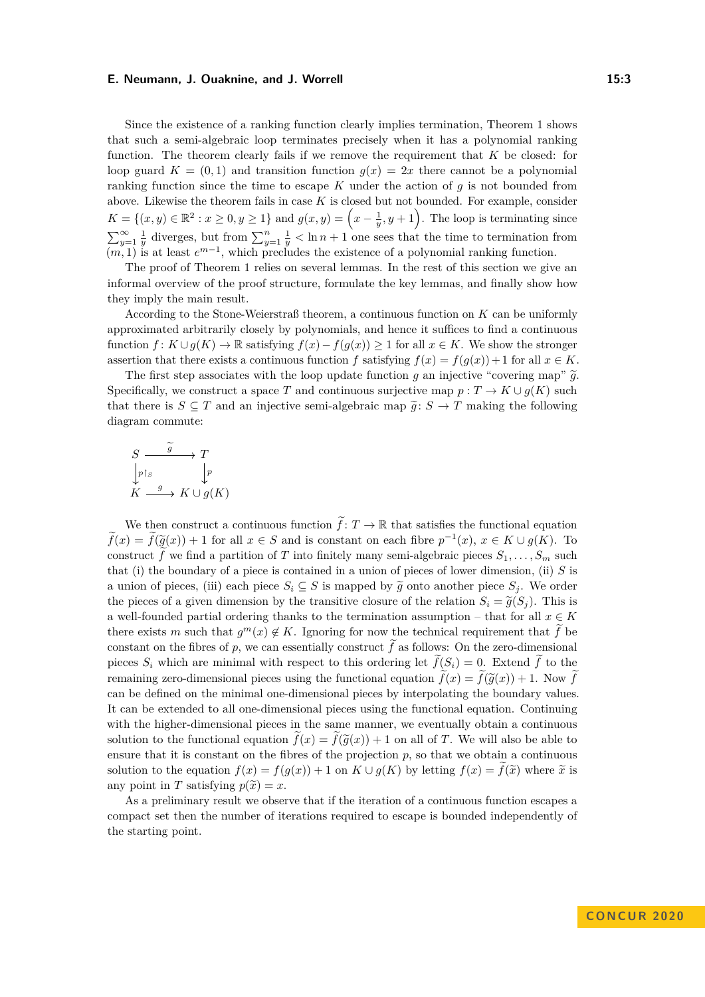Since the existence of a ranking function clearly implies termination, Theorem [1](#page-1-0) shows that such a semi-algebraic loop terminates precisely when it has a polynomial ranking function. The theorem clearly fails if we remove the requirement that *K* be closed: for loop guard  $K = (0, 1)$  and transition function  $g(x) = 2x$  there cannot be a polynomial ranking function since the time to escape *K* under the action of *g* is not bounded from above. Likewise the theorem fails in case *K* is closed but not bounded. For example, consider  $K = \{(x, y) \in \mathbb{R}^2 : x \ge 0, y \ge 1\}$  and  $g(x, y) = \left(x - \frac{1}{y}, y + 1\right)$ . The loop is terminating since  $\sum_{y=1}^{\infty} \frac{1}{y}$  diverges, but from  $\sum_{y=1}^{n} \frac{1}{y} < \ln n + 1$  one sees that the time to termination from  $(m, 1)$  is at least  $e^{m-1}$ , which precludes the existence of a polynomial ranking function.

The proof of Theorem [1](#page-1-0) relies on several lemmas. In the rest of this section we give an informal overview of the proof structure, formulate the key lemmas, and finally show how they imply the main result.

According to the Stone-Weierstraß theorem, a continuous function on *K* can be uniformly approximated arbitrarily closely by polynomials, and hence it suffices to find a continuous function  $f: K \cup g(K) \to \mathbb{R}$  satisfying  $f(x) - f(g(x)) \geq 1$  for all  $x \in K$ . We show the stronger assertion that there exists a continuous function *f* satisfying  $f(x) = f(g(x)) + 1$  for all  $x \in K$ .

The first step associates with the loop update function *g* an injective "covering map"  $\tilde{g}$ . Specifically, we construct a space *T* and continuous surjective map  $p: T \to K \cup g(K)$  such that there is  $S \subseteq T$  and an injective semi-algebraic map  $\tilde{g}: S \to T$  making the following diagram commute:

$$
S \xrightarrow{g} T
$$
  
\n
$$
\downarrow_{p \upharpoonright S} \qquad \downarrow_{p}
$$
  
\n
$$
K \xrightarrow{g} K \cup g(K)
$$

We then construct a continuous function  $\tilde{f}: T \to \mathbb{R}$  that satisfies the functional equation  $f(x) = f(\tilde{g}(x)) + 1$  for all  $x \in S$  and is constant on each fibre  $p^{-1}(x), x \in K \cup g(K)$ . To construct *f* we find a partition of *T* into finitely many semi-algebraic pieces  $S_1, \ldots, S_m$  such that (i) the boundary of a piece is contained in a union of pieces of lower dimension, (ii) *S* is a union of pieces, (iii) each piece  $S_i \subseteq S$  is mapped by  $\tilde{g}$  onto another piece  $S_j$ . We order the pieces of a given dimension by the transitive closure of the relation  $S_i = \tilde{g}(S_i)$ . This is a well-founded partial ordering thanks to the termination assumption – that for all  $x \in K$ there exists *m* such that  $g^m(x) \notin K$ . Ignoring for now the technical requirement that  $\tilde{f}$  be constant on the fibres of p, we can essentially construct  $\tilde{f}$  as follows: On the zero-dimensional pieces  $S_i$  which are minimal with respect to this ordering let  $\hat{f}(S_i) = 0$ . Extend  $\hat{f}$  to the remaining zero-dimensional pieces using the functional equation  $f(x) = f(\tilde{g}(x)) + 1$ . Now *f* can be defined on the minimal one-dimensional pieces by interpolating the boundary values. It can be extended to all one-dimensional pieces using the functional equation. Continuing with the higher-dimensional pieces in the same manner, we eventually obtain a continuous solution to the functional equation  $\tilde{f}(x) = \tilde{f}(\tilde{q}(x)) + 1$  on all of *T*. We will also be able to ensure that it is constant on the fibres of the projection  $p$ , so that we obtain a continuous solution to the equation  $f(x) = f(g(x)) + 1$  on  $K \cup g(K)$  by letting  $f(x) = \tilde{f}(\tilde{x})$  where  $\tilde{x}$  is any point in *T* satisfying  $p(\tilde{x}) = x$ .

<span id="page-2-0"></span>As a preliminary result we observe that if the iteration of a continuous function escapes a compact set then the number of iterations required to escape is bounded independently of the starting point.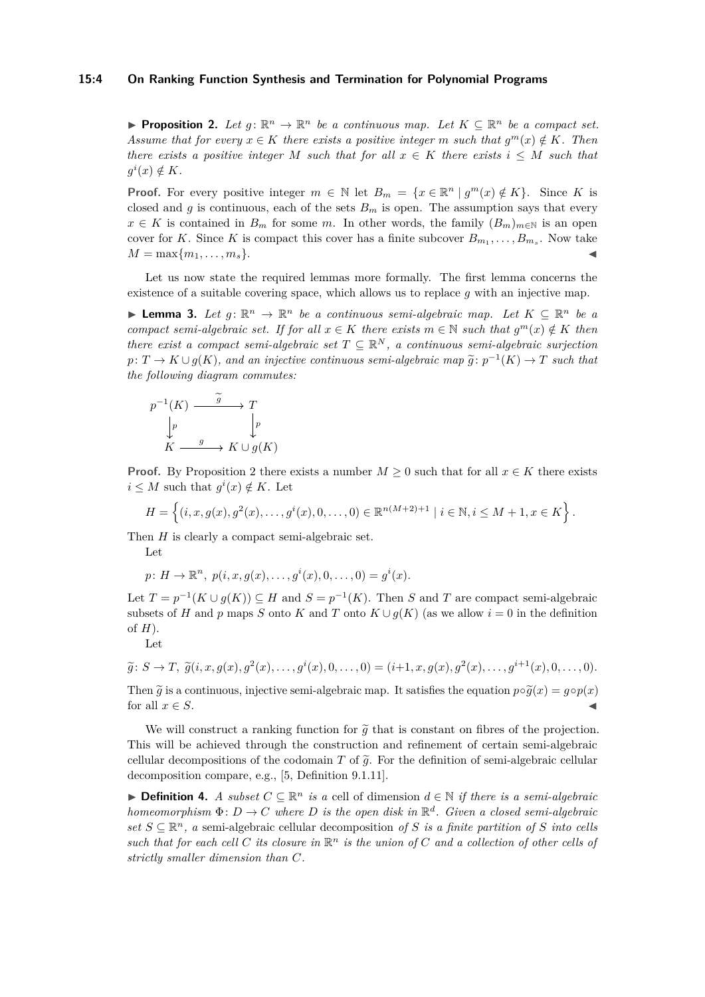## **15:4 On Ranking Function Synthesis and Termination for Polynomial Programs**

**Proposition 2.** Let  $g: \mathbb{R}^n \to \mathbb{R}^n$  be a continuous map. Let  $K \subseteq \mathbb{R}^n$  be a compact set. *Assume that for every*  $x \in K$  *there exists a positive integer m such that*  $g^m(x) \notin K$ *. Then there exists a positive integer M such that for all*  $x \in K$  *there exists*  $i \leq M$  *such that*  $g^i(x) \notin K$ *.* 

**Proof.** For every positive integer  $m \in \mathbb{N}$  let  $B_m = \{x \in \mathbb{R}^n | g^m(x) \notin K\}$ . Since *K* is closed and *g* is continuous, each of the sets  $B_m$  is open. The assumption says that every *x* ∈ *K* is contained in *B<sub>m</sub>* for some *m*. In other words, the family  $(B_m)_{m \in \mathbb{N}}$  is an open cover for *K*. Since *K* is compact this cover has a finite subcover  $B_{m_1}, \ldots, B_{m_s}$ . Now take  $M = \max\{m_1, \ldots, m_s\}.$ 

Let us now state the required lemmas more formally. The first lemma concerns the existence of a suitable covering space, which allows us to replace *g* with an injective map.

<span id="page-3-0"></span>**► Lemma 3.** Let  $g: \mathbb{R}^n \to \mathbb{R}^n$  be a continuous semi-algebraic map. Let  $K \subseteq \mathbb{R}^n$  be a *compact semi-algebraic set. If for all*  $x \in K$  *there exists*  $m \in \mathbb{N}$  *such that*  $g^m(x) \notin K$  *then there exist a compact semi-algebraic set*  $T \subseteq \mathbb{R}^N$ , a continuous semi-algebraic surjection  $p: T \to K \cup g(K)$ , and an injective continuous semi-algebraic map  $\tilde{g}: p^{-1}(K) \to T$  such that the following diagram commutes: *the following diagram commutes:*

$$
p^{-1}(K) \xrightarrow{\widetilde{g}} T
$$
  
\n
$$
\downarrow p \qquad \qquad \downarrow p
$$
  
\n
$$
K \xrightarrow{g} K \cup g(K)
$$

**Proof.** By Proposition [2](#page-2-0) there exists a number  $M \geq 0$  such that for all  $x \in K$  there exists  $i \leq M$  such that  $g^i(x) \notin K$ . Let

$$
H = \left\{ (i, x, g(x), g^{2}(x), \ldots, g^{i}(x), 0, \ldots, 0) \in \mathbb{R}^{n(M+2)+1} \mid i \in \mathbb{N}, i \leq M+1, x \in K \right\}.
$$

Then *H* is clearly a compact semi-algebraic set.

Let

$$
p\colon H\to\mathbb{R}^n, \ p(i,x,g(x),\ldots,g^i(x),0,\ldots,0)=g^i(x).
$$

Let  $T = p^{-1}(K \cup g(K)) \subseteq H$  and  $S = p^{-1}(K)$ . Then *S* and *T* are compact semi-algebraic subsets of *H* and *p* maps *S* onto *K* and *T* onto  $K \cup g(K)$  (as we allow  $i = 0$  in the definition of *H*).

$$
_{\rm Let}
$$

 $\widetilde{g}: S \to T, \ \widetilde{g}(i, x, g(x), g^{2}(x), \ldots, g^{i}(x), 0, \ldots, 0) = (i+1, x, g(x), g^{2}(x), \ldots, g^{i+1}(x), 0, \ldots, 0).$ 

Then  $\tilde{g}$  is a continuous, injective semi-algebraic map. It satisfies the equation  $p \circ \tilde{g}(x) = g \circ p(x)$ for all  $x \in S$ .

We will construct a ranking function for  $\tilde{g}$  that is constant on fibres of the projection. This will be achieved through the construction and refinement of certain semi-algebraic cellular decompositions of the codomain *T* of  $\tilde{q}$ . For the definition of semi-algebraic cellular decomposition compare, e.g., [\[5,](#page-13-6) Definition 9.1.11].

**► Definition 4.** *A subset*  $C \subseteq \mathbb{R}^n$  *is a* cell of dimension  $d \in \mathbb{N}$  *if there is a semi-algebraic homeomorphism*  $\Phi: D \to C$  *where D is the open disk in*  $\mathbb{R}^d$ *. Given a closed semi-algebraic set*  $S \subseteq \mathbb{R}^n$ , a semi-algebraic cellular decomposition of *S* is a finite partition of *S* into cells such that for each cell C its closure in  $\mathbb{R}^n$  is the union of C and a collection of other cells of *strictly smaller dimension than C.*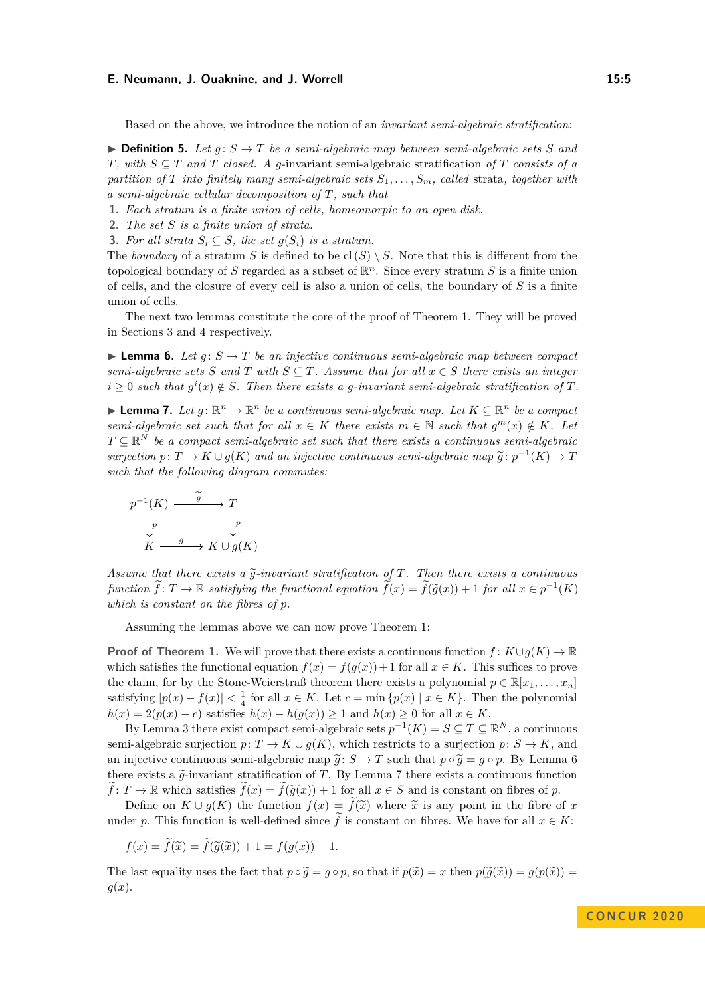Based on the above, we introduce the notion of an *invariant semi-algebraic stratification*:

 $\triangleright$  **Definition 5.** Let  $g: S \to T$  be a semi-algebraic map between semi-algebraic sets S and *T*, with  $S \subseteq T$  and *T* closed. A *g*-invariant semi-algebraic stratification of *T* consists of a *partition of T into finitely many semi-algebraic sets*  $S_1, \ldots, S_m$ *, called* strata*, together with a semi-algebraic cellular decomposition of T, such that*

- **1.** *Each stratum is a finite union of cells, homeomorpic to an open disk.*
- **2.** *The set S is a finite union of strata.*
- <span id="page-4-2"></span>**3.** For all strata  $S_i \subseteq S$ , the set  $g(S_i)$  is a stratum.

The *boundary* of a stratum *S* is defined to be  $cl(S) \setminus S$ . Note that this is different from the topological boundary of *S* regarded as a subset of R *<sup>n</sup>*. Since every stratum *S* is a finite union of cells, and the closure of every cell is also a union of cells, the boundary of *S* is a finite union of cells.

The next two lemmas constitute the core of the proof of Theorem [1.](#page-1-0) They will be proved in Sections [3](#page-5-0) and [4](#page-8-0) respectively.

<span id="page-4-0"></span>**Lemma 6.** Let  $q: S \to T$  be an injective continuous semi-algebraic map between compact *semi-algebraic sets S* and *T* with  $S \subseteq T$ *. Assume that for all*  $x \in S$  *there exists an integer*  $i \geq 0$  such that  $g^{i}(x) \notin S$ . Then there exists a *g-invariant semi-algebraic stratification of*  $T$ *.* 

<span id="page-4-1"></span>**► Lemma 7.** Let  $g: \mathbb{R}^n \to \mathbb{R}^n$  be a continuous semi-algebraic map. Let  $K \subseteq \mathbb{R}^n$  be a compact *semi-algebraic set such that for all*  $x \in K$  *there exists*  $m \in \mathbb{N}$  *such that*  $g^m(x) \notin K$ *. Let*  $T \subseteq \mathbb{R}^N$  *be a compact semi-algebraic set such that there exists a continuous semi-algebraic surjection*  $p: T \to K \cup g(K)$  *and an injective continuous semi-algebraic map*  $\tilde{g}: p^{-1}(K) \to T$ *such that the following diagram commutes:*

$$
p^{-1}(K) \xrightarrow{g} T
$$
  
\n
$$
\downarrow p
$$
  
\n
$$
K \xrightarrow{g} K \cup g(K)
$$

*Assume that there exists a*  $\tilde{q}$ -invariant stratification of T. Then there exists a continuous  $f$ unction  $\tilde{f}: T \to \mathbb{R}$  *satisfying the functional equation*  $\tilde{f}(x) = \tilde{f}(\tilde{g}(x)) + 1$  *for all*  $x \in p^{-1}(K)$ *which is constant on the fibres of p.*

Assuming the lemmas above we can now prove Theorem [1:](#page-1-0)

**Proof of Theorem [1.](#page-1-0)** We will prove that there exists a continuous function  $f: K \cup g(K) \to \mathbb{R}$ which satisfies the functional equation  $f(x) = f(g(x)) + 1$  for all  $x \in K$ . This suffices to prove the claim, for by the Stone-Weierstraß theorem there exists a polynomial  $p \in \mathbb{R}[x_1, \ldots, x_n]$ satisfying  $|p(x) - f(x)| < \frac{1}{4}$  for all  $x \in K$ . Let  $c = \min \{p(x) | x \in K\}$ . Then the polynomial  $h(x) = 2(p(x) - c)$  satisfies  $h(x) - h(g(x)) \ge 1$  and  $h(x) \ge 0$  for all  $x \in K$ .

By Lemma [3](#page-3-0) there exist compact semi-algebraic sets  $p^{-1}(K) = S \subseteq T \subseteq \mathbb{R}^N$ , a continuous semi-algebraic surjection  $p: T \to K \cup g(K)$ , which restricts to a surjection  $p: S \to K$ , and an injective continuous semi-algebraic map  $\tilde{g}: S \to T$  such that  $p \circ \tilde{g} = g \circ p$ . By Lemma [6](#page-4-0) there exists a  $\tilde{q}$ -invariant stratification of *T*. By Lemma [7](#page-4-1) there exists a continuous function  $\hat{f}: T \to \mathbb{R}$  which satisfies  $\hat{f}(x) = \hat{f}(\tilde{q}(x)) + 1$  for all  $x \in S$  and is constant on fibres of *p*.

Define on  $K \cup g(K)$  the function  $f(x) = \tilde{f}(\tilde{x})$  where  $\tilde{x}$  is any point in the fibre of x under *p*. This function is well-defined since f is constant on fibres. We have for all  $x \in K$ :

$$
f(x) = \tilde{f}(\tilde{x}) = \tilde{f}(\tilde{g}(\tilde{x})) + 1 = f(g(x)) + 1.
$$

The last equality uses the fact that  $p \circ \widetilde{g} = g \circ p$ , so that if  $p(\widetilde{x}) = x$  then  $p(\widetilde{g}(\widetilde{x})) = g(p(\widetilde{x})) =$ *g*(*x*).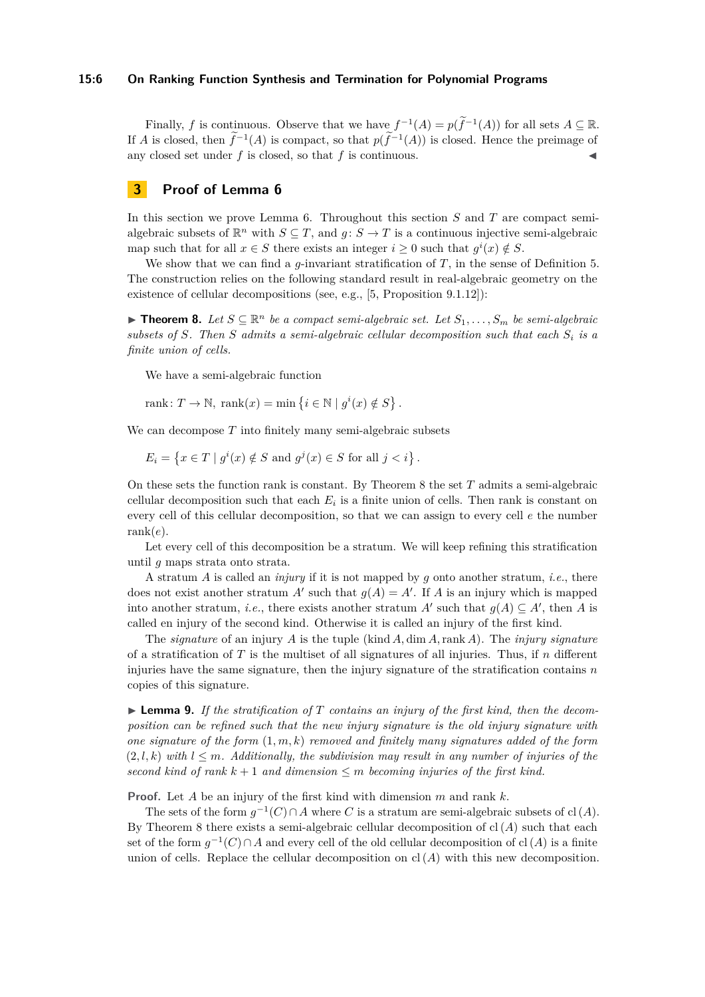## **15:6 On Ranking Function Synthesis and Termination for Polynomial Programs**

Finally, *f* is continuous. Observe that we have  $f^{-1}(A) = p(f^{-1}(A))$  for all sets  $A \subseteq \mathbb{R}$ . If *A* is closed, then  $f^{-1}(A)$  is compact, so that  $p(f^{-1}(A))$  is closed. Hence the preimage of any closed set under  $f$  is closed, so that  $f$  is continuous.

# <span id="page-5-0"></span>**3 Proof of Lemma [6](#page-4-0)**

In this section we prove Lemma [6.](#page-4-0) Throughout this section *S* and *T* are compact semialgebraic subsets of  $\mathbb{R}^n$  with  $S \subseteq T$ , and  $g: S \to T$  is a continuous injective semi-algebraic map such that for all  $x \in S$  there exists an integer  $i \geq 0$  such that  $g^{i}(x) \notin S$ .

We show that we can find a *g*-invariant stratification of *T*, in the sense of Definition [5.](#page-4-2) The construction relies on the following standard result in real-algebraic geometry on the existence of cellular decompositions (see, e.g., [\[5,](#page-13-6) Proposition 9.1.12]):

<span id="page-5-1"></span>▶ **Theorem 8.** Let  $S \subseteq \mathbb{R}^n$  be a compact semi-algebraic set. Let  $S_1, \ldots, S_m$  be semi-algebraic *subsets of S. Then S admits a semi-algebraic cellular decomposition such that each S<sup>i</sup> is a finite union of cells.*

We have a semi-algebraic function

rank:  $T \to \mathbb{N}$ , rank $(x) = \min \{ i \in \mathbb{N} \mid g^i(x) \notin S \}.$ 

We can decompose *T* into finitely many semi-algebraic subsets

$$
E_i = \left\{ x \in T \mid g^i(x) \notin S \text{ and } g^j(x) \in S \text{ for all } j < i \right\}.
$$

On these sets the function rank is constant. By Theorem [8](#page-5-1) the set *T* admits a semi-algebraic cellular decomposition such that each  $E_i$  is a finite union of cells. Then rank is constant on every cell of this cellular decomposition, so that we can assign to every cell *e* the number rank(*e*).

Let every cell of this decomposition be a stratum. We will keep refining this stratification until *g* maps strata onto strata.

A stratum *A* is called an *injury* if it is not mapped by *g* onto another stratum, *i.e.*, there does not exist another stratum  $A'$  such that  $g(A) = A'$ . If *A* is an injury which is mapped into another stratum, *i.e.*, there exists another stratum *A'* such that  $g(A) \subseteq A'$ , then *A* is called en injury of the second kind. Otherwise it is called an injury of the first kind.

The *signature* of an injury *A* is the tuple (kind *A,* dim *A,*rank *A*). The *injury signature* of a stratification of *T* is the multiset of all signatures of all injuries. Thus, if *n* different injuries have the same signature, then the injury signature of the stratification contains *n* copies of this signature.

▶ **Lemma 9.** *If the stratification of T contains an injury of the first kind, then the decomposition can be refined such that the new injury signature is the old injury signature with one signature of the form* (1*, m, k*) *removed and finitely many signatures added of the form*  $(2, l, k)$  *with*  $l \leq m$ *. Additionally, the subdivision may result in any number of injuries of the second kind of rank k* + 1 *and dimension* ≤ *m becoming injuries of the first kind.*

**Proof.** Let *A* be an injury of the first kind with dimension *m* and rank *k*.

The sets of the form  $g^{-1}(C) \cap A$  where *C* is a stratum are semi-algebraic subsets of cl(*A*). By Theorem [8](#page-5-1) there exists a semi-algebraic cellular decomposition of  $cl(A)$  such that each set of the form  $g^{-1}(C) \cap A$  and every cell of the old cellular decomposition of cl(A) is a finite union of cells. Replace the cellular decomposition on  $cl(A)$  with this new decomposition.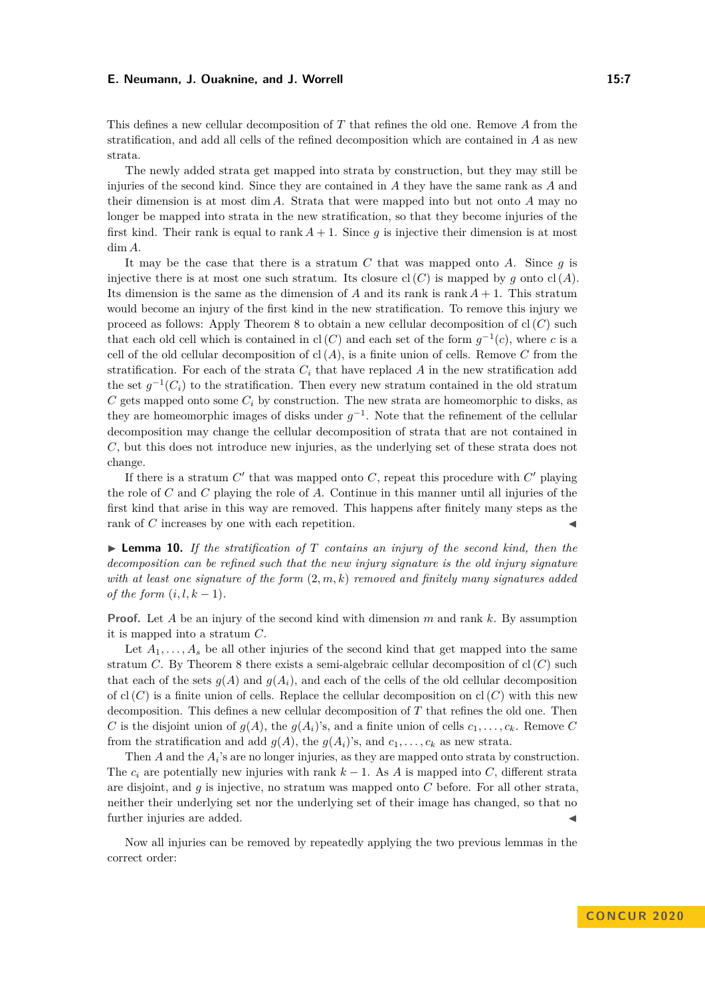This defines a new cellular decomposition of *T* that refines the old one. Remove *A* from the stratification, and add all cells of the refined decomposition which are contained in *A* as new strata.

The newly added strata get mapped into strata by construction, but they may still be injuries of the second kind. Since they are contained in *A* they have the same rank as *A* and their dimension is at most dim *A*. Strata that were mapped into but not onto *A* may no longer be mapped into strata in the new stratification, so that they become injuries of the first kind. Their rank is equal to rank  $A + 1$ . Since q is injective their dimension is at most dim *A*.

It may be the case that there is a stratum *C* that was mapped onto *A*. Since *g* is injective there is at most one such stratum. Its closure  $cl(C)$  is mapped by *g* onto  $cl(A)$ . Its dimension is the same as the dimension of *A* and its rank is rank  $A + 1$ . This stratum would become an injury of the first kind in the new stratification. To remove this injury we proceed as follows: Apply Theorem [8](#page-5-1) to obtain a new cellular decomposition of  $cl(C)$  such that each old cell which is contained in  $cl(C)$  and each set of the form  $g^{-1}(c)$ , where *c* is a cell of the old cellular decomposition of  $cl(A)$ , is a finite union of cells. Remove C from the stratification. For each of the strata  $C_i$  that have replaced  $A$  in the new stratification add the set  $g^{-1}(C_i)$  to the stratification. Then every new stratum contained in the old stratum  $C$  gets mapped onto some  $C_i$  by construction. The new strata are homeomorphic to disks, as they are homeomorphic images of disks under  $g^{-1}$ . Note that the refinement of the cellular decomposition may change the cellular decomposition of strata that are not contained in *C*, but this does not introduce new injuries, as the underlying set of these strata does not change.

If there is a stratum  $C'$  that was mapped onto  $C$ , repeat this procedure with  $C'$  playing the role of *C* and *C* playing the role of *A*. Continue in this manner until all injuries of the first kind that arise in this way are removed. This happens after finitely many steps as the rank of *C* increases by one with each repetition.

 $\blacktriangleright$  **Lemma 10.** If the stratification of  $T$  contains an injury of the second kind, then the *decomposition can be refined such that the new injury signature is the old injury signature with at least one signature of the form* (2*, m, k*) *removed and finitely many signatures added of the form*  $(i, l, k - 1)$ *.* 

**Proof.** Let *A* be an injury of the second kind with dimension *m* and rank *k*. By assumption it is mapped into a stratum *C*.

Let  $A_1, \ldots, A_s$  be all other injuries of the second kind that get mapped into the same stratum *C*. By Theorem [8](#page-5-1) there exists a semi-algebraic cellular decomposition of  $cl(C)$  such that each of the sets  $g(A)$  and  $g(A_i)$ , and each of the cells of the old cellular decomposition of cl  $(C)$  is a finite union of cells. Replace the cellular decomposition on cl  $(C)$  with this new decomposition. This defines a new cellular decomposition of *T* that refines the old one. Then *C* is the disjoint union of  $g(A)$ , the  $g(A_i)$ 's, and a finite union of cells  $c_1, \ldots, c_k$ . Remove *C* from the stratification and add  $g(A)$ , the  $g(A_i)$ 's, and  $c_1, \ldots, c_k$  as new strata.

Then *A* and the  $A_i$ 's are no longer injuries, as they are mapped onto strata by construction. The  $c_i$  are potentially new injuries with rank  $k-1$ . As *A* is mapped into *C*, different strata are disjoint, and *g* is injective, no stratum was mapped onto *C* before. For all other strata, neither their underlying set nor the underlying set of their image has changed, so that no further injuries are added.

Now all injuries can be removed by repeatedly applying the two previous lemmas in the correct order: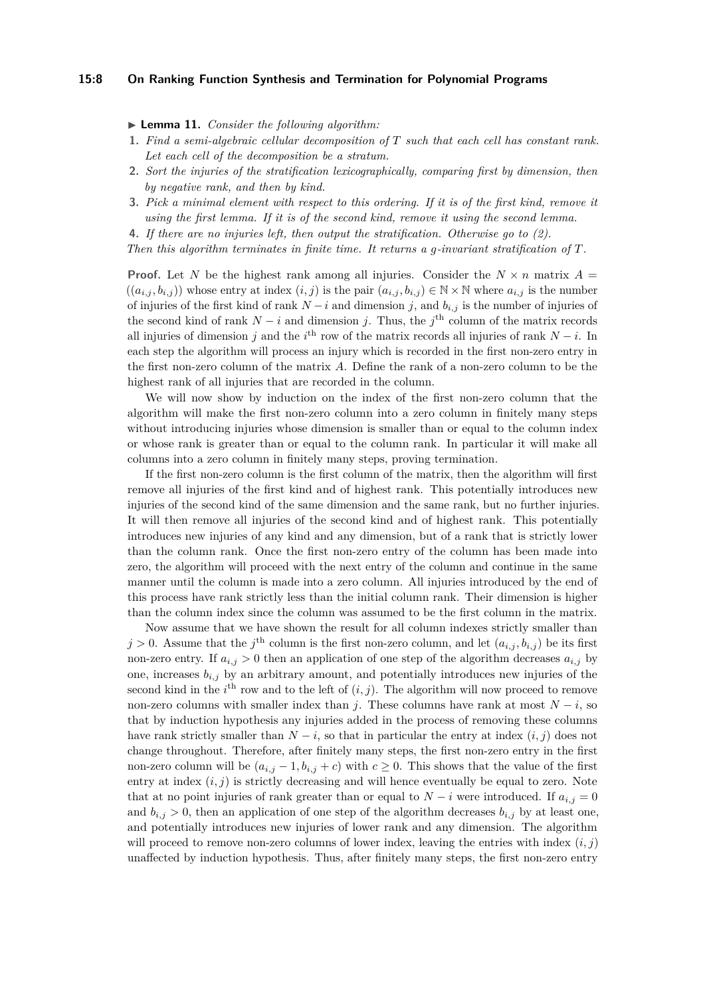## **15:8 On Ranking Function Synthesis and Termination for Polynomial Programs**

▶ **Lemma 11.** *Consider the following algorithm:* 

- **1.** *Find a semi-algebraic cellular decomposition of T such that each cell has constant rank. Let each cell of the decomposition be a stratum.*
- **2.** *Sort the injuries of the stratification lexicographically, comparing first by dimension, then by negative rank, and then by kind.*
- **3.** *Pick a minimal element with respect to this ordering. If it is of the first kind, remove it using the first lemma. If it is of the second kind, remove it using the second lemma.*
- **4.** *If there are no injuries left, then output the stratification. Otherwise go to (2).*

*Then this algorithm terminates in finite time. It returns a g-invariant stratification of T.*

**Proof.** Let *N* be the highest rank among all injuries. Consider the  $N \times n$  matrix  $A =$  $((a_{i,j}, b_{i,j}))$  whose entry at index  $(i, j)$  is the pair  $(a_{i,j}, b_{i,j}) \in \mathbb{N} \times \mathbb{N}$  where  $a_{i,j}$  is the number of injuries of the first kind of rank  $N-i$  and dimension *j*, and  $b_{i,j}$  is the number of injuries of the second kind of rank  $N - i$  and dimension *j*. Thus, the *j*<sup>th</sup> column of the matrix records all injuries of dimension *j* and the  $i^{\text{th}}$  row of the matrix records all injuries of rank *N* − *i*. In each step the algorithm will process an injury which is recorded in the first non-zero entry in the first non-zero column of the matrix *A*. Define the rank of a non-zero column to be the highest rank of all injuries that are recorded in the column.

We will now show by induction on the index of the first non-zero column that the algorithm will make the first non-zero column into a zero column in finitely many steps without introducing injuries whose dimension is smaller than or equal to the column index or whose rank is greater than or equal to the column rank. In particular it will make all columns into a zero column in finitely many steps, proving termination.

If the first non-zero column is the first column of the matrix, then the algorithm will first remove all injuries of the first kind and of highest rank. This potentially introduces new injuries of the second kind of the same dimension and the same rank, but no further injuries. It will then remove all injuries of the second kind and of highest rank. This potentially introduces new injuries of any kind and any dimension, but of a rank that is strictly lower than the column rank. Once the first non-zero entry of the column has been made into zero, the algorithm will proceed with the next entry of the column and continue in the same manner until the column is made into a zero column. All injuries introduced by the end of this process have rank strictly less than the initial column rank. Their dimension is higher than the column index since the column was assumed to be the first column in the matrix.

Now assume that we have shown the result for all column indexes strictly smaller than  $j > 0$ . Assume that the  $j^{\text{th}}$  column is the first non-zero column, and let  $(a_{i,j}, b_{i,j})$  be its first non-zero entry. If  $a_{i,j} > 0$  then an application of one step of the algorithm decreases  $a_{i,j}$  by one, increases  $b_{i,j}$  by an arbitrary amount, and potentially introduces new injuries of the second kind in the  $i^{\text{th}}$  row and to the left of  $(i, j)$ . The algorithm will now proceed to remove non-zero columns with smaller index than *j*. These columns have rank at most  $N - i$ , so that by induction hypothesis any injuries added in the process of removing these columns have rank strictly smaller than  $N - i$ , so that in particular the entry at index  $(i, j)$  does not change throughout. Therefore, after finitely many steps, the first non-zero entry in the first non-zero column will be  $(a_{i,j} - 1, b_{i,j} + c)$  with  $c \geq 0$ . This shows that the value of the first entry at index  $(i, j)$  is strictly decreasing and will hence eventually be equal to zero. Note that at no point injuries of rank greater than or equal to  $N - i$  were introduced. If  $a_{i,j} = 0$ and  $b_{i,j} > 0$ , then an application of one step of the algorithm decreases  $b_{i,j}$  by at least one, and potentially introduces new injuries of lower rank and any dimension. The algorithm will proceed to remove non-zero columns of lower index, leaving the entries with index  $(i, j)$ unaffected by induction hypothesis. Thus, after finitely many steps, the first non-zero entry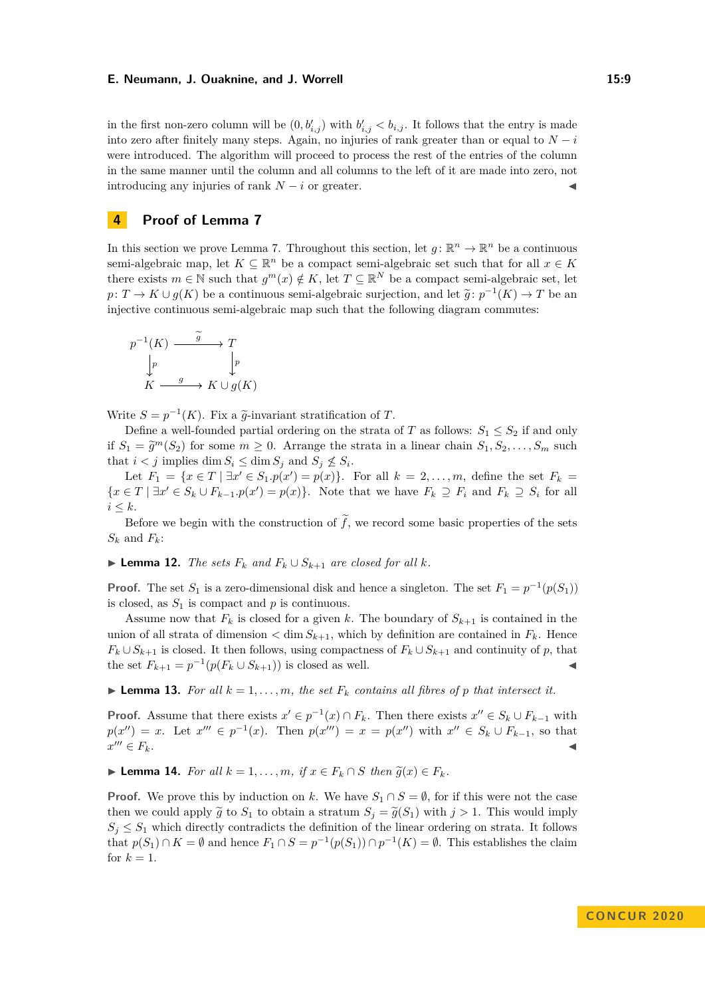in the first non-zero column will be  $(0, b'_{i,j})$  with  $b'_{i,j} < b_{i,j}$ . It follows that the entry is made into zero after finitely many steps. Again, no injuries of rank greater than or equal to  $N - i$ were introduced. The algorithm will proceed to process the rest of the entries of the column in the same manner until the column and all columns to the left of it are made into zero, not introducing any injuries of rank  $N - i$  or greater.

# <span id="page-8-0"></span>**4 Proof of Lemma [7](#page-4-1)**

In this section we prove Lemma [7.](#page-4-1) Throughout this section, let  $g: \mathbb{R}^n \to \mathbb{R}^n$  be a continuous semi-algebraic map, let  $K \subseteq \mathbb{R}^n$  be a compact semi-algebraic set such that for all  $x \in K$ there exists  $m \in \mathbb{N}$  such that  $g^m(x) \notin K$ , let  $T \subseteq \mathbb{R}^N$  be a compact semi-algebraic set, let  $p: T \to K \cup g(K)$  be a continuous semi-algebraic surjection, and let  $\tilde{g}: p^{-1}(K) \to T$  be an injective continuous semi-algebraic map such that the following diagram commutes. injective continuous semi-algebraic map such that the following diagram commutes:

$$
p^{-1}(K) \xrightarrow{g} T
$$

$$
\downarrow p
$$

$$
K \xrightarrow{g} K \cup g(K)
$$

Write  $S = p^{-1}(K)$ . Fix a  $\tilde{g}$ -invariant stratification of *T*.<br>Define a well founded partial origins on the strate.

Define a well-founded partial ordering on the strata of *T* as follows:  $S_1 \leq S_2$  if and only if  $S_1 = \tilde{g}^m(S_2)$  for some  $m \geq 0$ . Arrange the strata in a linear chain  $S_1, S_2, \ldots, S_m$  such that  $i \leq j$  implies dim  $S_i \leq j$  implies  $S_i$  and  $S_i \neq S_j$ that  $i < j$  implies dim  $S_i \le \dim S_j$  and  $S_j \nle S_i$ .

Let  $F_1 = \{x \in T \mid \exists x' \in S_1 \cdot p(x') = p(x)\}.$  For all  $k = 2, ..., m$ , define the set  $F_k =$  $\{x \in T \mid \exists x' \in S_k \cup F_{k-1}.p(x') = p(x)\}.$  Note that we have  $F_k \supseteq F_i$  and  $F_k \supseteq S_i$  for all  $i \leq k$ .

Before we begin with the construction of  $\tilde{f}$ , we record some basic properties of the sets  $S_k$  and  $F_k$ :

▶ **Lemma 12.** *The sets*  $F_k$  *and*  $F_k \cup S_{k+1}$  *are closed for all k.* 

**Proof.** The set  $S_1$  is a zero-dimensional disk and hence a singleton. The set  $F_1 = p^{-1}(p(S_1))$ is closed, as  $S_1$  is compact and  $p$  is continuous.

Assume now that  $F_k$  is closed for a given k. The boundary of  $S_{k+1}$  is contained in the union of all strata of dimension  $\langle$  dim  $S_{k+1}$ , which by definition are contained in  $F_k$ . Hence  $F_k \cup S_{k+1}$  is closed. It then follows, using compactness of  $F_k \cup S_{k+1}$  and continuity of *p*, that the set  $F_{k+1} = p^{-1}(p(F_k \cup S_{k+1}))$  is closed as well. <br>
■

**Lemma 13.** For all  $k = 1, \ldots, m$ , the set  $F_k$  contains all fibres of p that intersect it.

**Proof.** Assume that there exists  $x' \in p^{-1}(x) \cap F_k$ . Then there exists  $x'' \in S_k \cup F_{k-1}$  with  $p(x'') = x$ . Let  $x''' \in p^{-1}(x)$ . Then  $p(x''') = x = p(x'')$  with  $x'' \in S_k \cup F_{k-1}$ , so that  $x''' \in F_k$ .  $\mathscr{C}$   $F_k$ .

<span id="page-8-1"></span>▶ **Lemma 14.** *For all*  $k = 1, \ldots, m$ *, if*  $x \in F_k \cap S$  *then*  $\tilde{g}(x) \in F_k$ *.* 

**Proof.** We prove this by induction on *k*. We have  $S_1 \cap S = \emptyset$ , for if this were not the case then we could apply  $\tilde{g}$  to  $S_1$  to obtain a stratum  $S_j = \tilde{g}(S_1)$  with  $j > 1$ . This would imply  $S_i \leq S_1$  which directly contradicts the definition of the linear ordering on strata. It follows that  $p(S_1) \cap K = \emptyset$  and hence  $F_1 \cap S = p^{-1}(p(S_1)) \cap p^{-1}(K) = \emptyset$ . This establishes the claim for  $k=1$ .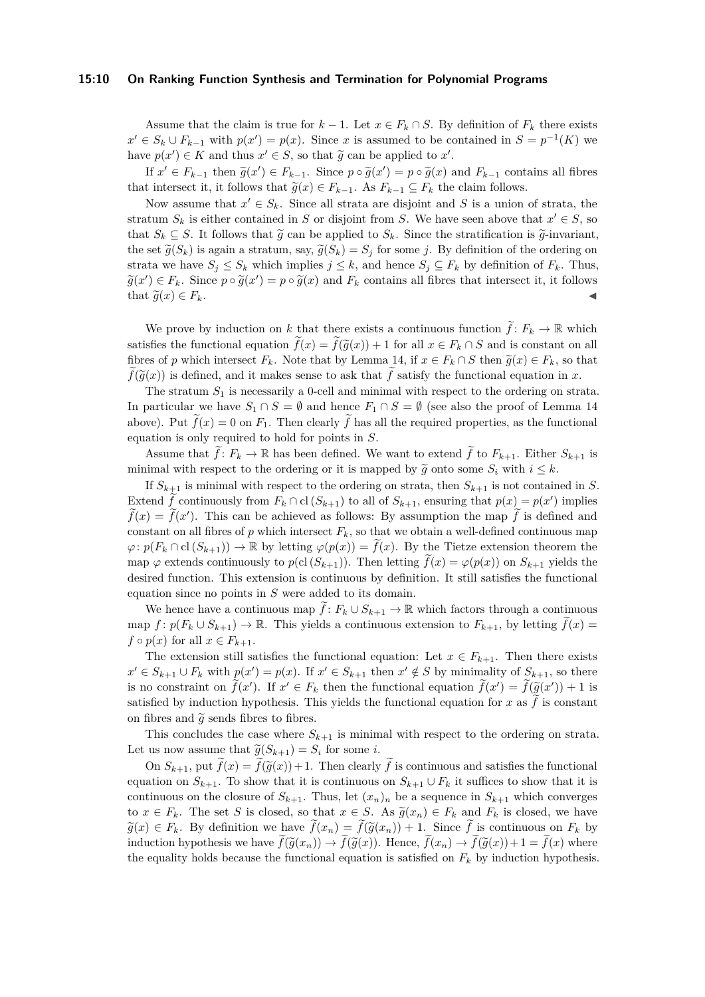## **15:10 On Ranking Function Synthesis and Termination for Polynomial Programs**

Assume that the claim is true for  $k-1$ . Let  $x \in F_k \cap S$ . By definition of  $F_k$  there exists  $x' \in S_k \cup F_{k-1}$  with  $p(x') = p(x)$ . Since *x* is assumed to be contained in  $S = p^{-1}(K)$  we have  $p(x') \in K$  and thus  $x' \in S$ , so that  $\widetilde{g}$  can be applied to  $x'$ .

If  $x' \text{ ∈ } F_{k-1}$  then  $\tilde{g}(x') \text{ ∈ } F_{k-1}$ . Since  $p \circ \tilde{g}(x') = p \circ \tilde{g}(x)$  and  $F_{k-1}$  contains all fibres the integrated it it follows that  $\tilde{g}(x) \in F$  and  $F$  and  $F$  is the claim follows that intersect it, it follows that  $\tilde{g}(x) \in F_{k-1}$ . As  $F_{k-1} \subseteq F_k$  the claim follows.

Now assume that  $x' \in S_k$ . Since all strata are disjoint and S is a union of strata, the stratum  $S_k$  is either contained in *S* or disjoint from *S*. We have seen above that  $x' \in S$ , so that  $S_k \subseteq S$ . It follows that  $\widetilde{g}$  can be applied to  $S_k$ . Since the stratification is  $\widetilde{g}$ -invariant, the set  $\tilde{g}(S_k)$  is again a stratum, say,  $\tilde{g}(S_k) = S_j$  for some *j*. By definition of the ordering on strata we have  $S_i \leq S_k$  which implies  $j \leq k$ , and hence  $S_i \subseteq F_k$  by definition of  $F_k$ . Thus,  $\widetilde{g}(x') \in F_k$ . Since  $p \circ \widetilde{g}(x') = p \circ \widetilde{g}(x)$  and  $F_k$  contains all fibres that intersect it, it follows that  $\widetilde{g}(x) \in F_k$ .

We prove by induction on *k* that there exists a continuous function  $\hat{f}: F_k \to \mathbb{R}$  which satisfies the functional equation  $\tilde{f}(x) = \tilde{f}(\tilde{g}(x)) + 1$  for all  $x \in F_k \cap S$  and is constant on all fibres of *p* which intersect  $F_k$ . Note that by Lemma [14,](#page-8-1) if  $x \in F_k \cap S$  then  $\tilde{g}(x) \in F_k$ , so that  $f(\tilde{g}(x))$  is defined, and it makes sense to ask that *f* satisfy the functional equation in *x*.

The stratum  $S_1$  is necessarily a 0-cell and minimal with respect to the ordering on strata. In particular we have  $S_1 \cap S = \emptyset$  and hence  $F_1 \cap S = \emptyset$  (see also the proof of Lemma [14](#page-8-1) above). Put  $\tilde{f}(x) = 0$  on  $F_1$ . Then clearly  $\tilde{f}$  has all the required properties, as the functional equation is only required to hold for points in *S*.

Assume that  $\tilde{f}: F_k \to \mathbb{R}$  has been defined. We want to extend  $\tilde{f}$  to  $F_{k+1}$ . Either  $S_{k+1}$  is minimal with respect to the ordering or it is mapped by  $\tilde{g}$  onto some  $S_i$  with  $i \leq k$ .

If  $S_{k+1}$  is minimal with respect to the ordering on strata, then  $S_{k+1}$  is not contained in *S*. Extend  $\tilde{f}$  continuously from  $F_k \cap \text{cl}(S_{k+1})$  to all of  $S_{k+1}$ , ensuring that  $p(x) = p(x')$  implies  $\widetilde{f}(x) = \widetilde{f}(x')$ . This can be achieved as follows: By assumption the map  $\widetilde{f}$  is defined and constant on all fibres of  $p$  which intersect  $F_k$ , so that we obtain a well-defined continuous map  $\varphi: p(F_k \cap \text{cl}(S_{k+1})) \to \mathbb{R}$  by letting  $\varphi(p(x)) = f(x)$ . By the Tietze extension theorem the map  $\varphi$  extends continuously to  $p(\text{cl}(S_{k+1}))$ . Then letting  $f(x) = \varphi(p(x))$  on  $S_{k+1}$  yields the desired function. This extension is continuous by definition. It still satisfies the functional equation since no points in *S* were added to its domain.

We hence have a continuous map  $\tilde{f}: F_k \cup S_{k+1} \to \mathbb{R}$  which factors through a continuous map  $f: p(F_k \cup S_{k+1}) \to \mathbb{R}$ . This yields a continuous extension to  $F_{k+1}$ , by letting  $f(x) =$  $f \circ p(x)$  for all  $x \in F_{k+1}$ .

The extension still satisfies the functional equation: Let  $x \in F_{k+1}$ . Then there exists *x*<sup> $i ∈ *S*<sub>k+1</sub> ∪ *F*<sub>k</sub> with *p*(*x*′) = *p*(*x*). If *x*′ ∈ *S*<sub>k+1</sub> then *x*′ ∉ *S* by minimality of *S*<sub>k+1</sub>, so there$ is no constraint on  $\tilde{f}(x')$ . If  $x' \in F_k$  then the functional equation  $\tilde{f}(x') = \tilde{f}(\tilde{g}(x')) + 1$  is<br>catiofied by induction hypothesis. This vialds the functional equation for  $x \circ \tilde{x}$  is constant satisfied by induction hypothesis. This yields the functional equation for  $x$  as  $f$  is constant on fibres and  $\tilde{q}$  sends fibres to fibres.

This concludes the case where  $S_{k+1}$  is minimal with respect to the ordering on strata. Let us now assume that  $\tilde{g}(S_{k+1}) = S_i$  for some *i*.

On  $S_{k+1}$ , put  $\tilde{f}(x) = \tilde{f}(\tilde{g}(x)) + 1$ . Then clearly  $\tilde{f}$  is continuous and satisfies the functional equation on  $S_{k+1}$ . To show that it is continuous on  $S_{k+1} \cup F_k$  it suffices to show that it is continuous on the closure of  $S_{k+1}$ . Thus, let  $(x_n)_n$  be a sequence in  $S_{k+1}$  which converges to  $x \in F_k$ . The set *S* is closed, so that  $x \in S$ . As  $\tilde{g}(x_n) \in F_k$  and  $F_k$  is closed, we have  $\widetilde{g}(x) \in F_k$ . By definition we have  $\widetilde{f}(x_n) = \widetilde{f}(\widetilde{g}(x_n)) + 1$ . Since  $\widetilde{f}$  is continuous on  $F_k$  by induction hypothesis we have  $\tilde{f}(\tilde{g}(x_n)) \to \tilde{f}(\tilde{g}(x))$ . Hence,  $\tilde{f}(x_n) \to \tilde{f}(\tilde{g}(x)) + 1 = \tilde{f}(x)$  where the equality holds because the functional equation is satisfied on  $F_k$  by induction hypothesis.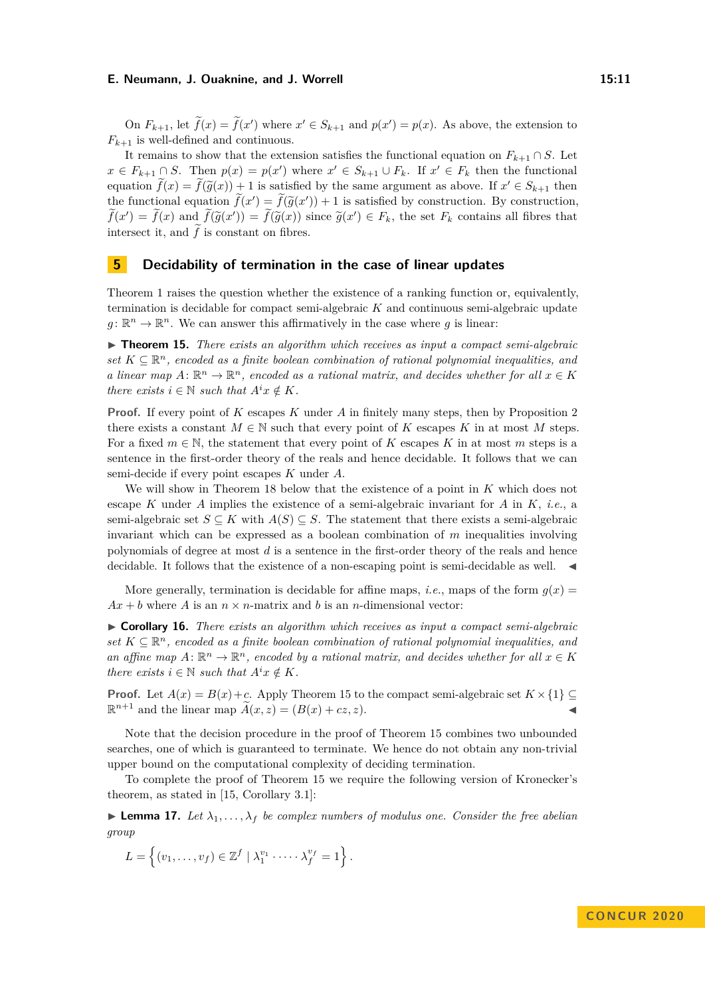On  $F_{k+1}$ , let  $\tilde{f}(x) = \tilde{f}(x')$  where  $x' \in S_{k+1}$  and  $p(x') = p(x)$ . As above, the extension to  $F_{k+1}$  is well-defined and continuous.

It remains to show that the extension satisfies the functional equation on  $F_{k+1} \cap S$ . Let *x* ∈ *F*<sub>*k*+1</sub> ∩ *S*. Then  $p(x) = p(x')$  where  $x' \in S_{k+1} \cup F_k$ . If  $x' \in F_k$  then the functional equation  $\tilde{f}(x) = \tilde{f}(\tilde{g}(x)) + 1$  is satisfied by the same argument as above. If  $x' \in S_{k+1}$  then<br>the functional constant  $\tilde{f}(x') = \tilde{f}(\tilde{z}(x')) + 1$  is satisfied by construction. By construction the functional equation  $\hat{f}(x') = \hat{f}(\tilde{g}(x')) + 1$  is satisfied by construction. By construction,<br> $\tilde{f}(x') = \tilde{f}(x)$  and  $\tilde{f}(\tilde{z}(x')) = \tilde{f}(\tilde{z}(x))$  since  $\tilde{z}(x') \in F$ , the set E sentains all fibres that  $\tilde{f}(x') = \tilde{f}(x)$  and  $\tilde{f}(\tilde{g}(x')) = \tilde{f}(\tilde{g}(x))$  since  $\tilde{g}(x') \in F_k$ , the set  $F_k$  contains all fibres that intersect it, and  $f$  is constant on fibres.

# **5 Decidability of termination in the case of linear updates**

Theorem [1](#page-1-0) raises the question whether the existence of a ranking function or, equivalently, termination is decidable for compact semi-algebraic *K* and continuous semi-algebraic update  $g: \mathbb{R}^n \to \mathbb{R}^n$ . We can answer this affirmatively in the case where *g* is linear:

<span id="page-10-0"></span>► **Theorem 15.** *There exists an algorithm which receives as input a compact semi-algebraic*  $set~K \subseteq \mathbb{R}^n$ , encoded as a finite boolean combination of rational polynomial inequalities, and *a* linear map  $A: \mathbb{R}^n \to \mathbb{R}^n$ , encoded as a rational matrix, and decides whether for all  $x \in K$ *there exists*  $i \in \mathbb{N}$  *such that*  $A^i x \notin K$ *.* 

**Proof.** If every point of *K* escapes *K* under *A* in finitely many steps, then by Proposition [2](#page-2-0) there exists a constant  $M \in \mathbb{N}$  such that every point of *K* escapes *K* in at most *M* steps. For a fixed  $m \in \mathbb{N}$ , the statement that every point of *K* escapes *K* in at most *m* steps is a sentence in the first-order theory of the reals and hence decidable. It follows that we can semi-decide if every point escapes *K* under *A*.

We will show in Theorem [18](#page-11-0) below that the existence of a point in *K* which does not escape *K* under *A* implies the existence of a semi-algebraic invariant for *A* in *K*, *i.e.*, a semi-algebraic set  $S \subseteq K$  with  $A(S) \subseteq S$ . The statement that there exists a semi-algebraic invariant which can be expressed as a boolean combination of *m* inequalities involving polynomials of degree at most *d* is a sentence in the first-order theory of the reals and hence decidable. It follows that the existence of a non-escaping point is semi-decidable as well.  $\blacktriangleleft$ 

More generally, termination is decidable for affine maps, *i.e.*, maps of the form  $g(x)$  $Ax + b$  where *A* is an  $n \times n$ -matrix and *b* is an *n*-dimensional vector:

I **Corollary 16.** *There exists an algorithm which receives as input a compact semi-algebraic*  $set~K \subseteq \mathbb{R}^n$ , encoded as a finite boolean combination of rational polynomial inequalities, and an affine map  $A: \mathbb{R}^n \to \mathbb{R}^n$ , encoded by a rational matrix, and decides whether for all  $x \in K$ *there exists*  $i \in \mathbb{N}$  *such that*  $A^i x \notin K$ *.* 

**Proof.** Let  $A(x) = B(x) + c$ . Apply Theorem [15](#page-10-0) to the compact semi-algebraic set  $K \times \{1\} \subseteq$  $\mathbb{R}^{n+1}$  and the linear map  $\widetilde{A}(x, z) = (B(x) + cz, z).$ 

Note that the decision procedure in the proof of Theorem [15](#page-10-0) combines two unbounded searches, one of which is guaranteed to terminate. We hence do not obtain any non-trivial upper bound on the computational complexity of deciding termination.

To complete the proof of Theorem [15](#page-10-0) we require the following version of Kronecker's theorem, as stated in [\[15,](#page-14-12) Corollary 3.1]:

<span id="page-10-1"></span>**Lemma 17.** Let  $\lambda_1, \ldots, \lambda_f$  be complex numbers of modulus one. Consider the free abelian *group*

$$
L = \left\{ (v_1, \ldots, v_f) \in \mathbb{Z}^f \mid \lambda_1^{v_1} \cdots \lambda_f^{v_f} = 1 \right\}.
$$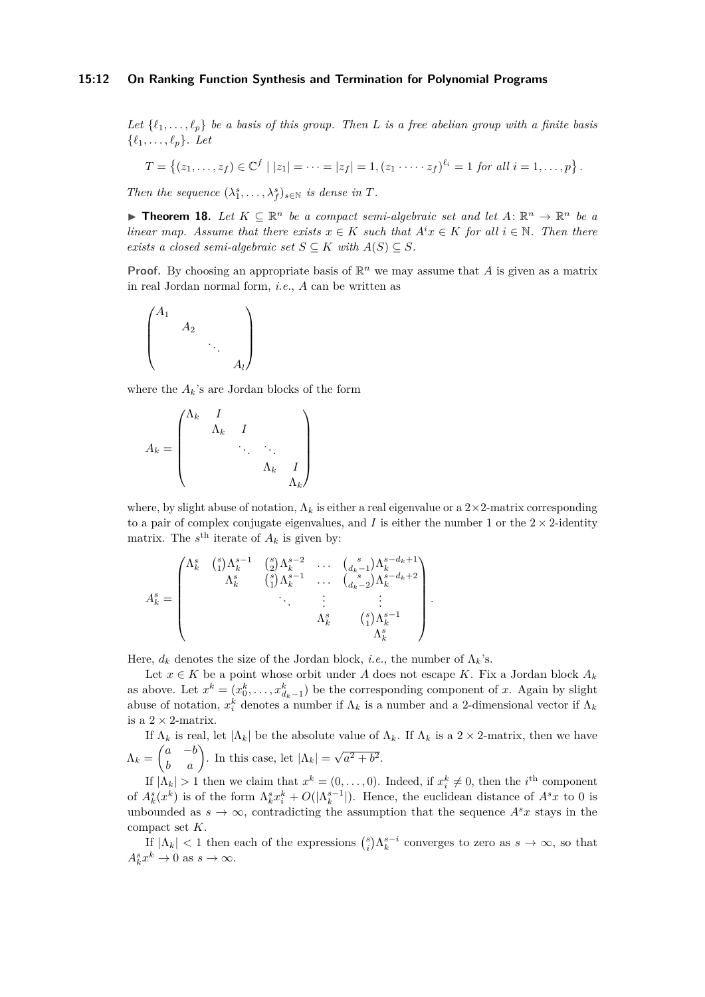## **15:12 On Ranking Function Synthesis and Termination for Polynomial Programs**

Let  $\{\ell_1, \ldots, \ell_p\}$  be a basis of this group. Then L is a free abelian group with a finite basis  $\{\ell_1, \ldots, \ell_p\}$ *. Let* 

$$
T = \{(z_1, \ldots, z_f) \in \mathbb{C}^f \mid |z_1| = \cdots = |z_f| = 1, (z_1 \cdots z_f)^{\ell_i} = 1 \text{ for all } i = 1, \ldots, p\}.
$$

*Then the sequence*  $(\lambda_1^s, \ldots, \lambda_f^s)_{s \in \mathbb{N}}$  *is dense in T.* 

<span id="page-11-0"></span>**► Theorem 18.** Let  $K \subseteq \mathbb{R}^n$  be a compact semi-algebraic set and let  $A: \mathbb{R}^n \to \mathbb{R}^n$  be a *linear map. Assume that there exists*  $x \in K$  *such that*  $A^i x \in K$  *for all*  $i \in \mathbb{N}$ *. Then there exists a closed semi-algebraic set*  $S \subseteq K$  *with*  $A(S) \subseteq S$ *.* 

**Proof.** By choosing an appropriate basis of  $\mathbb{R}^n$  we may assume that A is given as a matrix in real Jordan normal form, *i.e.*, *A* can be written as

$$
\begin{pmatrix} A_1 & & & \\ & A_2 & & \\ & & \ddots & \\ & & & A_l \end{pmatrix}
$$

where the  $A_k$ 's are Jordan blocks of the form

$$
A_k = \begin{pmatrix} \Lambda_k & I & & & \\ & \Lambda_k & I & & \\ & & \ddots & \ddots & \\ & & & \Lambda_k & I \\ & & & & \Lambda_k \end{pmatrix}
$$

where, by slight abuse of notation,  $\Lambda_k$  is either a real eigenvalue or a  $2\times 2$ -matrix corresponding to a pair of complex conjugate eigenvalues, and  $I$  is either the number 1 or the  $2 \times 2$ -identity matrix. The  $s^{\text{th}}$  iterate of  $A_k$  is given by:

$$
A_{k}^{s} = \begin{pmatrix} \Lambda_{k}^{s} & {s \choose 1} \Lambda_{k}^{s-1} & {s \choose 2} \Lambda_{k}^{s-2} & \cdots & {s \choose d_{k-1}} \Lambda_{k}^{s-d_{k}+1} \\ & \Lambda_{k}^{s} & {s \choose 1} \Lambda_{k}^{s-1} & \cdots & {s \choose d_{k-2}} \Lambda_{k}^{s-d_{k}+2} \\ & \ddots & \vdots & \vdots \\ & & \Lambda_{k}^{s} & {s \choose 1} \Lambda_{k}^{s-1} \\ & & & \Lambda_{k}^{s} \end{pmatrix}.
$$

Here,  $d_k$  denotes the size of the Jordan block, *i.e.*, the number of  $\Lambda_k$ 's.

Let  $x \in K$  be a point whose orbit under A does not escape K. Fix a Jordan block  $A_k$ as above. Let  $x^k = (x_0^k, \ldots, x_{d_k-1}^k)$  be the corresponding component of *x*. Again by slight abuse of notation,  $x_i^k$  denotes a number if  $\Lambda_k$  is a number and a 2-dimensional vector if  $\Lambda_k$ is a  $2 \times 2$ -matrix.

If  $\Lambda_k$  is real, let  $|\Lambda_k|$  be the absolute value of  $\Lambda_k$ . If  $\Lambda_k$  is a 2 × 2-matrix, then we have  $\Lambda_k = \begin{pmatrix} a & -b \\ b & a \end{pmatrix}$ . In this case, let  $|\Lambda_k| =$ √  $a^2 + b^2$ .

If  $|\Lambda_k| > 1$  then we claim that  $x^k = (0, \ldots, 0)$ . Indeed, if  $x_i^k \neq 0$ , then the *i*<sup>th</sup> component of  $A_k^s(x^k)$  is of the form  $\Lambda_k^s x_i^k + O(|\Lambda_k^{s-1}|)$ . Hence, the euclidean distance of  $A^s x$  to 0 is unbounded as  $s \to \infty$ , contradicting the assumption that the sequence  $A^s x$  stays in the compact set *K*.

If  $|\Lambda_k|$  < 1 then each of the expressions  $\binom{s}{i} \Lambda_k^{s-i}$  converges to zero as  $s \to \infty$ , so that  $A_k^s x^k \to 0$  as  $s \to \infty$ .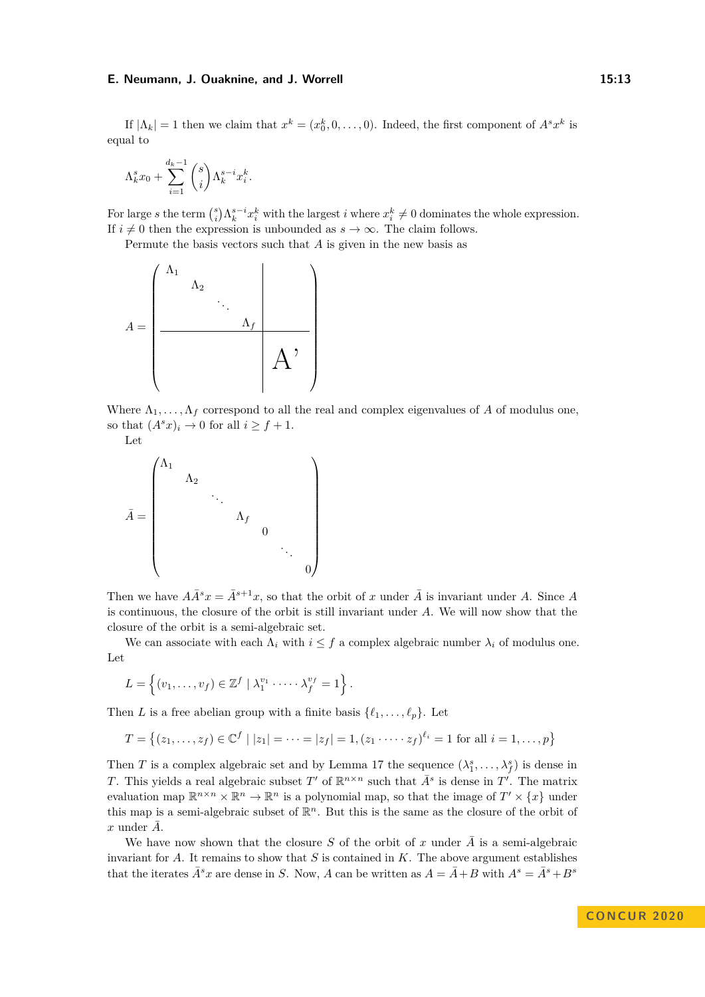If  $|\Lambda_k| = 1$  then we claim that  $x^k = (x_0^k, 0, \ldots, 0)$ . Indeed, the first component of  $A^s x^k$  is equal to

$$
\Lambda_k^s x_0 + \sum_{i=1}^{d_k - 1} \binom{s}{i} \Lambda_k^{s-i} x_i^k.
$$

For large *s* the term  $\binom{s}{i} \Lambda_k^{s-i} x_i^k$  with the largest *i* where  $x_i^k \neq 0$  dominates the whole expression. If  $i \neq 0$  then the expression is unbounded as  $s \to \infty$ . The claim follows.

Permute the basis vectors such that *A* is given in the new basis as

$$
A = \begin{pmatrix} \Lambda_1 & & & & \\ & \Lambda_2 & & & \\ & & \ddots & & \\ & & & \Lambda_f & \\ & & & & A \end{pmatrix}
$$

Where  $\Lambda_1, \ldots, \Lambda_f$  correspond to all the real and complex eigenvalues of *A* of modulus one, so that  $(A^s x)_i \to 0$  for all  $i \geq f + 1$ .

Let

$$
\bar{A} = \begin{pmatrix} \Lambda_1 & & & & & \\ & \Lambda_2 & & & & \\ & & \ddots & & & \\ & & & \Lambda_f & & \\ & & & & 0 & \\ & & & & & \ddots \\ & & & & & & 0 \end{pmatrix}
$$

Then we have  $A\overline{A}^s x = \overline{A}^{s+1}x$ , so that the orbit of *x* under  $\overline{A}$  is invariant under *A*. Since *A* is continuous, the closure of the orbit is still invariant under *A*. We will now show that the closure of the orbit is a semi-algebraic set.

We can associate with each  $\Lambda_i$  with  $i \leq f$  a complex algebraic number  $\lambda_i$  of modulus one. Let

$$
L = \left\{ (v_1, \ldots, v_f) \in \mathbb{Z}^f \mid \lambda_1^{v_1} \cdot \cdots \cdot \lambda_f^{v_f} = 1 \right\}.
$$

Then *L* is a free abelian group with a finite basis  $\{\ell_1, \ldots, \ell_p\}$ . Let

$$
T = \{(z_1, \ldots, z_f) \in \mathbb{C}^f \mid |z_1| = \cdots = |z_f| = 1, (z_1 \cdots z_f)^{\ell_i} = 1 \text{ for all } i = 1, \ldots, p\}
$$

Then *T* is a complex algebraic set and by Lemma [17](#page-10-1) the sequence  $(\lambda_1^s, \ldots, \lambda_f^s)$  is dense in *T*. This yields a real algebraic subset *T*<sup>'</sup> of  $\mathbb{R}^{n \times n}$  such that  $\bar{A}^s$  is dense in  $T'$ . The matrix evaluation map  $\mathbb{R}^{n \times n} \times \mathbb{R}^n \to \mathbb{R}^n$  is a polynomial map, so that the image of  $T' \times \{x\}$  under this map is a semi-algebraic subset of  $\mathbb{R}^n$ . But this is the same as the closure of the orbit of  $x$  under  $\overline{A}$ .

We have now shown that the closure *S* of the orbit of *x* under  $\overline{A}$  is a semi-algebraic invariant for *A*. It remains to show that *S* is contained in *K*. The above argument establishes that the iterates  $\bar{A}^s x$  are dense in *S*. Now, *A* can be written as  $A = \bar{A} + B$  with  $A^s = \bar{A}^s + B^s$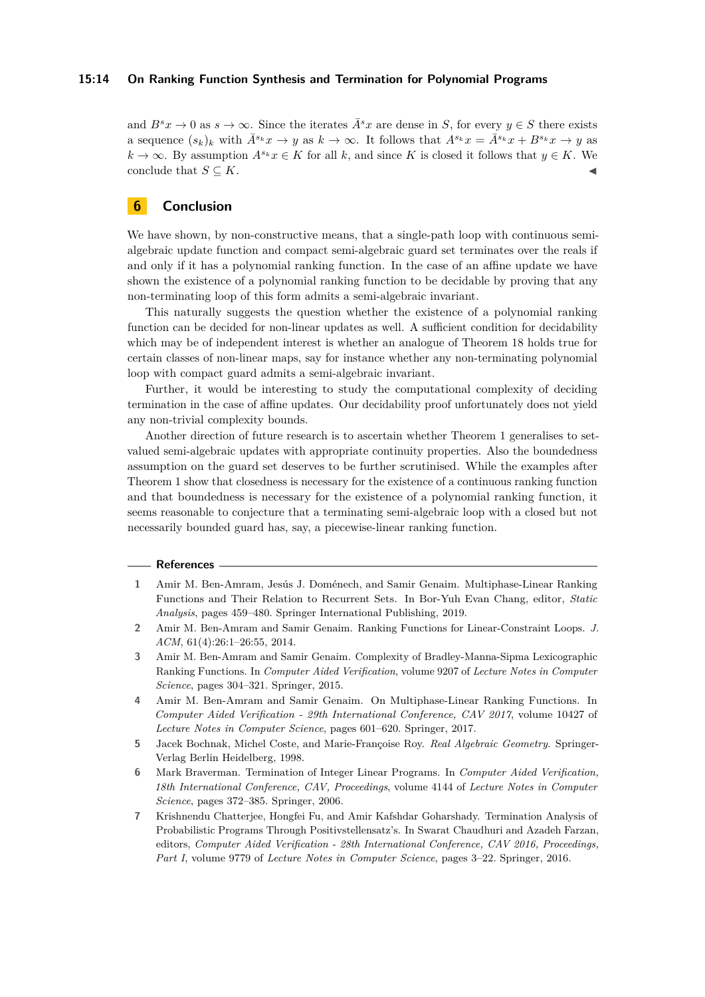# **15:14 On Ranking Function Synthesis and Termination for Polynomial Programs**

and  $B^sx \to 0$  as  $s \to \infty$ . Since the iterates  $\overline{A}^sx$  are dense in *S*, for every  $y \in S$  there exists a sequence  $(s_k)_k$  with  $\bar{A}^{s_k}x \to y$  as  $k \to \infty$ . It follows that  $A^{s_k}x = \bar{A}^{s_k}x + B^{s_k}x \to y$  as *k* → ∞. By assumption  $A^{s_k}x \in K$  for all *k*, and since *K* is closed it follows that  $y \in K$ . We conclude that  $S \subseteq K$ .

# **6 Conclusion**

We have shown, by non-constructive means, that a single-path loop with continuous semialgebraic update function and compact semi-algebraic guard set terminates over the reals if and only if it has a polynomial ranking function. In the case of an affine update we have shown the existence of a polynomial ranking function to be decidable by proving that any non-terminating loop of this form admits a semi-algebraic invariant.

This naturally suggests the question whether the existence of a polynomial ranking function can be decided for non-linear updates as well. A sufficient condition for decidability which may be of independent interest is whether an analogue of Theorem [18](#page-11-0) holds true for certain classes of non-linear maps, say for instance whether any non-terminating polynomial loop with compact guard admits a semi-algebraic invariant.

Further, it would be interesting to study the computational complexity of deciding termination in the case of affine updates. Our decidability proof unfortunately does not yield any non-trivial complexity bounds.

Another direction of future research is to ascertain whether Theorem [1](#page-1-0) generalises to setvalued semi-algebraic updates with appropriate continuity properties. Also the boundedness assumption on the guard set deserves to be further scrutinised. While the examples after Theorem [1](#page-1-0) show that closedness is necessary for the existence of a continuous ranking function and that boundedness is necessary for the existence of a polynomial ranking function, it seems reasonable to conjecture that a terminating semi-algebraic loop with a closed but not necessarily bounded guard has, say, a piecewise-linear ranking function.

#### **References**

- <span id="page-13-4"></span>**1** Amir M. Ben-Amram, Jesús J. Doménech, and Samir Genaim. Multiphase-Linear Ranking Functions and Their Relation to Recurrent Sets. In Bor-Yuh Evan Chang, editor, *Static Analysis*, pages 459–480. Springer International Publishing, 2019.
- <span id="page-13-0"></span>**2** Amir M. Ben-Amram and Samir Genaim. Ranking Functions for Linear-Constraint Loops. *J. ACM*, 61(4):26:1–26:55, 2014.
- <span id="page-13-1"></span>**3** Amir M. Ben-Amram and Samir Genaim. Complexity of Bradley-Manna-Sipma Lexicographic Ranking Functions. In *Computer Aided Verification*, volume 9207 of *Lecture Notes in Computer Science*, pages 304–321. Springer, 2015.
- <span id="page-13-2"></span>**4** Amir M. Ben-Amram and Samir Genaim. On Multiphase-Linear Ranking Functions. In *Computer Aided Verification - 29th International Conference, CAV 2017*, volume 10427 of *Lecture Notes in Computer Science*, pages 601–620. Springer, 2017.
- <span id="page-13-6"></span>**5** Jacek Bochnak, Michel Coste, and Marie-Françoise Roy. *Real Algebraic Geometry*. Springer-Verlag Berlin Heidelberg, 1998.
- <span id="page-13-5"></span>**6** Mark Braverman. Termination of Integer Linear Programs. In *Computer Aided Verification, 18th International Conference, CAV, Proceedings*, volume 4144 of *Lecture Notes in Computer Science*, pages 372–385. Springer, 2006.
- <span id="page-13-3"></span>**7** Krishnendu Chatterjee, Hongfei Fu, and Amir Kafshdar Goharshady. Termination Analysis of Probabilistic Programs Through Positivstellensatz's. In Swarat Chaudhuri and Azadeh Farzan, editors, *Computer Aided Verification - 28th International Conference, CAV 2016, Proceedings, Part I*, volume 9779 of *Lecture Notes in Computer Science*, pages 3–22. Springer, 2016.